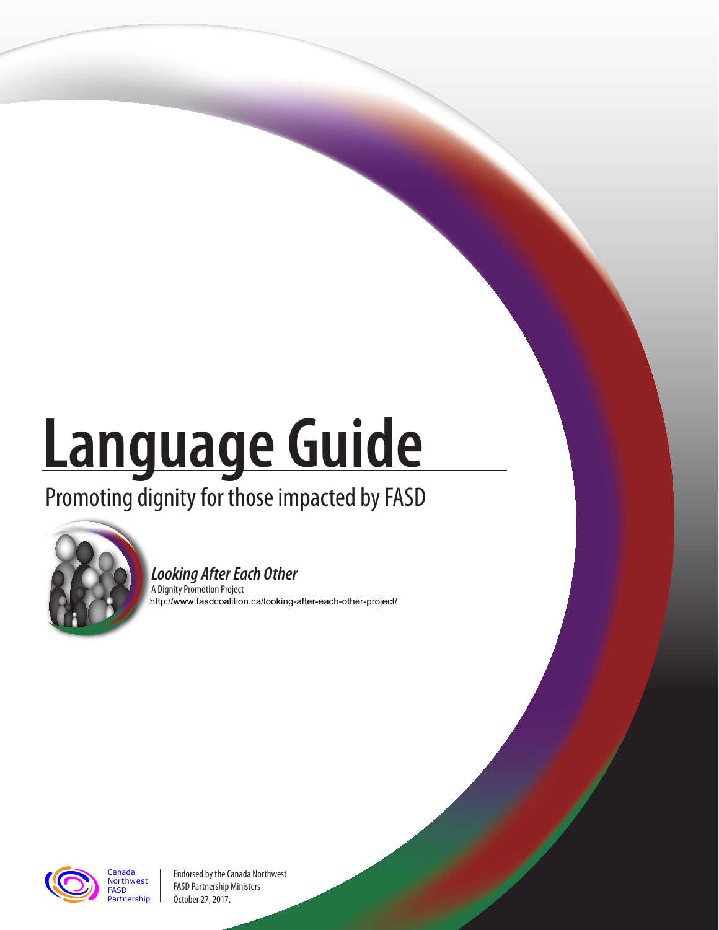# **Language Guide**

## Promoting dignity for those impacted by FASD



#### **Looking After Each Other**

A Dignity Promotion Project http://www.fasdcoalition.ca/looking-after-each-other-project/



Canada **Northwest** FASD Partnership

Endorsed by the Canada Northwest FASD Partnership Ministers October 27, 2017.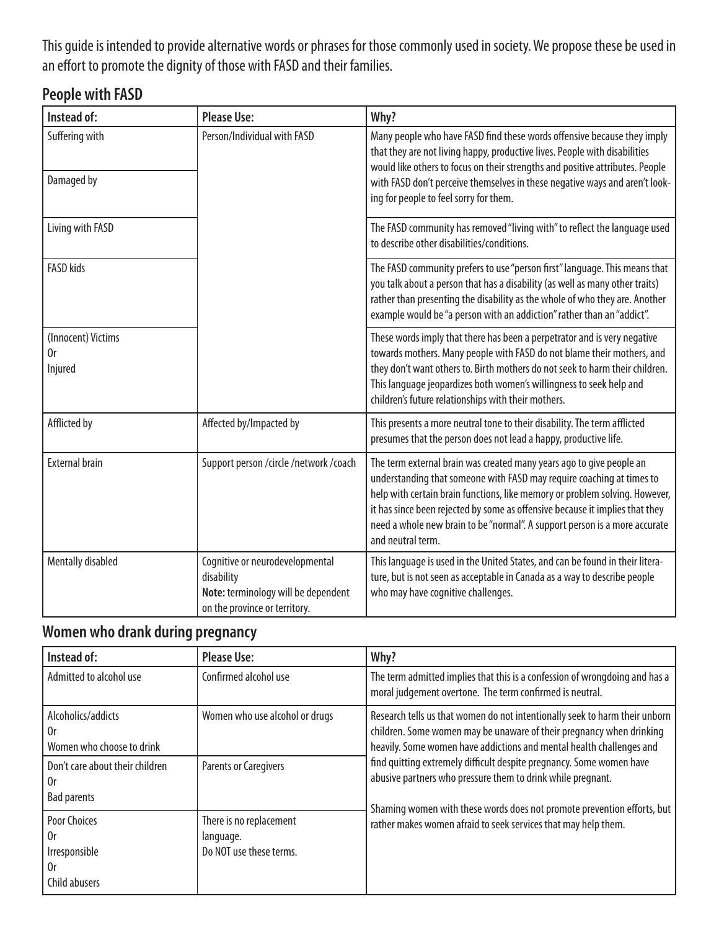This guide is intended to provide alternative words or phrases for those commonly used in society. We propose these be used in an effort to promote the dignity of those with FASD and their families.

#### **People with FASD**

| Instead of:                         | <b>Please Use:</b>                                                                                                    | Why?                                                                                                                                                                                                                                                                                                                                                                                                            |
|-------------------------------------|-----------------------------------------------------------------------------------------------------------------------|-----------------------------------------------------------------------------------------------------------------------------------------------------------------------------------------------------------------------------------------------------------------------------------------------------------------------------------------------------------------------------------------------------------------|
| Suffering with                      | Person/Individual with FASD                                                                                           | Many people who have FASD find these words offensive because they imply<br>that they are not living happy, productive lives. People with disabilities<br>would like others to focus on their strengths and positive attributes. People                                                                                                                                                                          |
| Damaged by                          |                                                                                                                       | with FASD don't perceive themselves in these negative ways and aren't look-<br>ing for people to feel sorry for them.                                                                                                                                                                                                                                                                                           |
| Living with FASD                    |                                                                                                                       | The FASD community has removed "living with" to reflect the language used<br>to describe other disabilities/conditions.                                                                                                                                                                                                                                                                                         |
| <b>FASD kids</b>                    |                                                                                                                       | The FASD community prefers to use "person first" language. This means that<br>you talk about a person that has a disability (as well as many other traits)<br>rather than presenting the disability as the whole of who they are. Another<br>example would be "a person with an addiction" rather than an "addict".                                                                                             |
| (Innocent) Victims<br>0r<br>Injured |                                                                                                                       | These words imply that there has been a perpetrator and is very negative<br>towards mothers. Many people with FASD do not blame their mothers, and<br>they don't want others to. Birth mothers do not seek to harm their children.<br>This language jeopardizes both women's willingness to seek help and<br>children's future relationships with their mothers.                                                |
| Afflicted by                        | Affected by/Impacted by                                                                                               | This presents a more neutral tone to their disability. The term afflicted<br>presumes that the person does not lead a happy, productive life.                                                                                                                                                                                                                                                                   |
| <b>External brain</b>               | Support person /circle /network /coach                                                                                | The term external brain was created many years ago to give people an<br>understanding that someone with FASD may require coaching at times to<br>help with certain brain functions, like memory or problem solving. However,<br>it has since been rejected by some as offensive because it implies that they<br>need a whole new brain to be "normal". A support person is a more accurate<br>and neutral term. |
| Mentally disabled                   | Cognitive or neurodevelopmental<br>disability<br>Note: terminology will be dependent<br>on the province or territory. | This language is used in the United States, and can be found in their litera-<br>ture, but is not seen as acceptable in Canada as a way to describe people<br>who may have cognitive challenges.                                                                                                                                                                                                                |

#### **Women who drank during pregnancy**

| Instead of:                                                       | <b>Please Use:</b>                                              | Why?                                                                                                                                                                                                                                                                                                                                                                                                                                                                                                            |
|-------------------------------------------------------------------|-----------------------------------------------------------------|-----------------------------------------------------------------------------------------------------------------------------------------------------------------------------------------------------------------------------------------------------------------------------------------------------------------------------------------------------------------------------------------------------------------------------------------------------------------------------------------------------------------|
| Admitted to alcohol use                                           | Confirmed alcohol use                                           | The term admitted implies that this is a confession of wrongdoing and has a<br>moral judgement overtone. The term confirmed is neutral.                                                                                                                                                                                                                                                                                                                                                                         |
| Alcoholics/addicts<br>0r<br>Women who choose to drink             | Women who use alcohol or drugs                                  | Research tells us that women do not intentionally seek to harm their unborn<br>children. Some women may be unaware of their pregnancy when drinking<br>heavily. Some women have addictions and mental health challenges and<br>find quitting extremely difficult despite pregnancy. Some women have<br>abusive partners who pressure them to drink while pregnant.<br>Shaming women with these words does not promote prevention efforts, but<br>rather makes women afraid to seek services that may help them. |
| Don't care about their children<br>0r<br><b>Bad parents</b>       | <b>Parents or Caregivers</b>                                    |                                                                                                                                                                                                                                                                                                                                                                                                                                                                                                                 |
| <b>Poor Choices</b><br>0r<br>Irresponsible<br>0r<br>Child abusers | There is no replacement<br>language.<br>Do NOT use these terms. |                                                                                                                                                                                                                                                                                                                                                                                                                                                                                                                 |